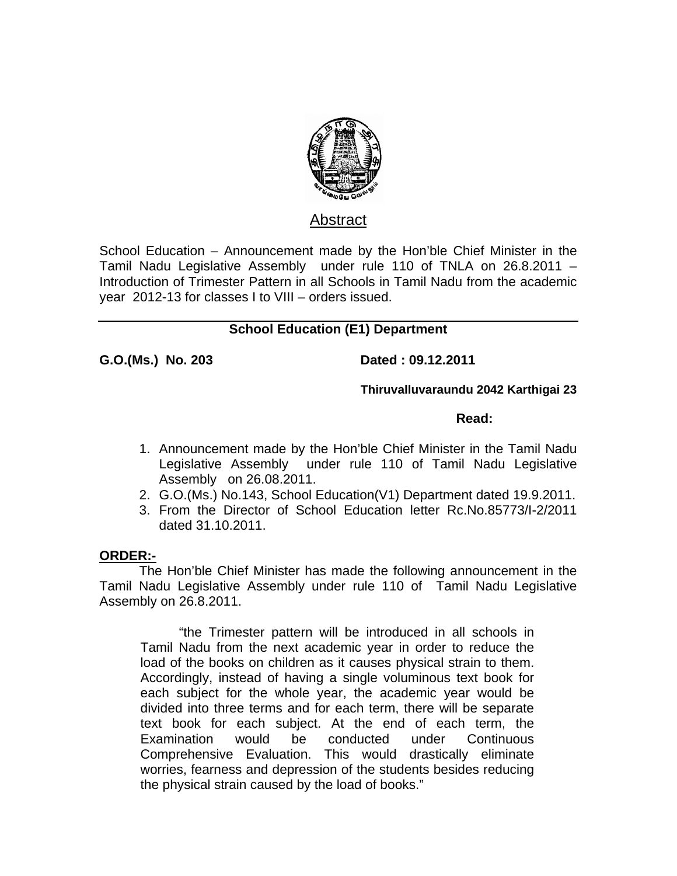

# Abstract

School Education – Announcement made by the Hon'ble Chief Minister in the Tamil Nadu Legislative Assembly under rule 110 of TNLA on 26.8.2011 – Introduction of Trimester Pattern in all Schools in Tamil Nadu from the academic year 2012-13 for classes I to VIII – orders issued.

# **School Education (E1) Department**

**G.O.(Ms.) No. 203 Dated : 09.12.2011** 

 **Thiruvalluvaraundu 2042 Karthigai 23**

### **Read:**  $\blacksquare$  Read:  $\blacksquare$

- 1. Announcement made by the Hon'ble Chief Minister in the Tamil Nadu Legislative Assembly under rule 110 of Tamil Nadu Legislative Assembly on 26.08.2011.
- 2. G.O.(Ms.) No.143, School Education(V1) Department dated 19.9.2011.
- 3. From the Director of School Education letter Rc.No.85773/I-2/2011 dated 31.10.2011.

## **ORDER:-**

 The Hon'ble Chief Minister has made the following announcement in the Tamil Nadu Legislative Assembly under rule 110 of Tamil Nadu Legislative Assembly on 26.8.2011.

 "the Trimester pattern will be introduced in all schools in Tamil Nadu from the next academic year in order to reduce the load of the books on children as it causes physical strain to them. Accordingly, instead of having a single voluminous text book for each subject for the whole year, the academic year would be divided into three terms and for each term, there will be separate text book for each subject. At the end of each term, the Examination would be conducted under Continuous Comprehensive Evaluation. This would drastically eliminate worries, fearness and depression of the students besides reducing the physical strain caused by the load of books."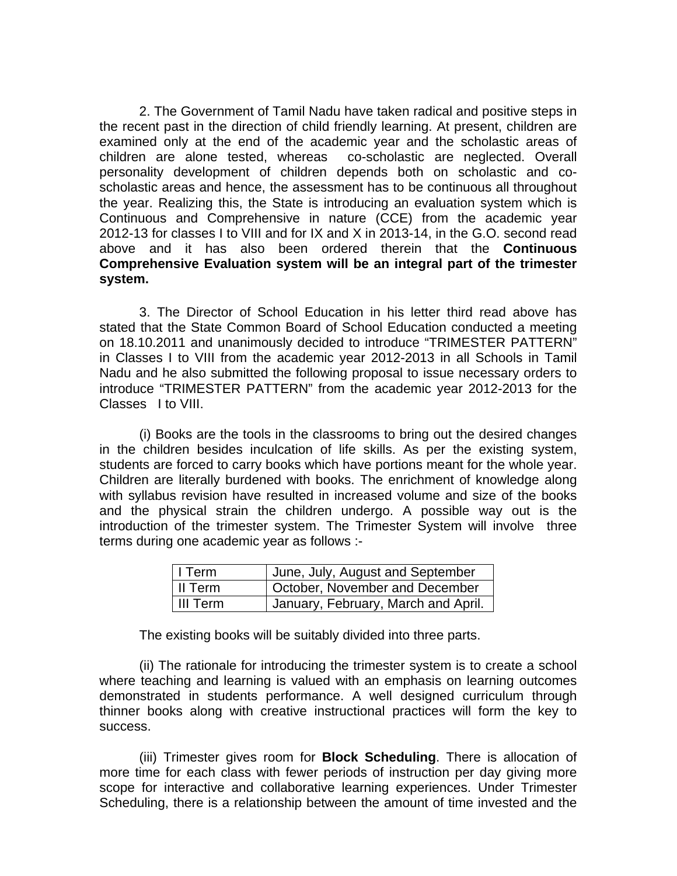2. The Government of Tamil Nadu have taken radical and positive steps in the recent past in the direction of child friendly learning. At present, children are examined only at the end of the academic year and the scholastic areas of children are alone tested, whereas co-scholastic are neglected. Overall personality development of children depends both on scholastic and coscholastic areas and hence, the assessment has to be continuous all throughout the year. Realizing this, the State is introducing an evaluation system which is Continuous and Comprehensive in nature (CCE) from the academic year 2012-13 for classes I to VIII and for IX and X in 2013-14, in the G.O. second read above and it has also been ordered therein that the **Continuous Comprehensive Evaluation system will be an integral part of the trimester system.** 

 3. The Director of School Education in his letter third read above has stated that the State Common Board of School Education conducted a meeting on 18.10.2011 and unanimously decided to introduce "TRIMESTER PATTERN" in Classes I to VIII from the academic year 2012-2013 in all Schools in Tamil Nadu and he also submitted the following proposal to issue necessary orders to introduce "TRIMESTER PATTERN" from the academic year 2012-2013 for the Classes I to VIII.

 (i) Books are the tools in the classrooms to bring out the desired changes in the children besides inculcation of life skills. As per the existing system, students are forced to carry books which have portions meant for the whole year. Children are literally burdened with books. The enrichment of knowledge along with syllabus revision have resulted in increased volume and size of the books and the physical strain the children undergo. A possible way out is the introduction of the trimester system. The Trimester System will involve three terms during one academic year as follows :-

| l I Term   | June, July, August and September    |
|------------|-------------------------------------|
| l II Term  | October, November and December      |
| l III Term | January, February, March and April. |

The existing books will be suitably divided into three parts.

(ii) The rationale for introducing the trimester system is to create a school where teaching and learning is valued with an emphasis on learning outcomes demonstrated in students performance. A well designed curriculum through thinner books along with creative instructional practices will form the key to success.

(iii) Trimester gives room for **Block Scheduling**. There is allocation of more time for each class with fewer periods of instruction per day giving more scope for interactive and collaborative learning experiences. Under Trimester Scheduling, there is a relationship between the amount of time invested and the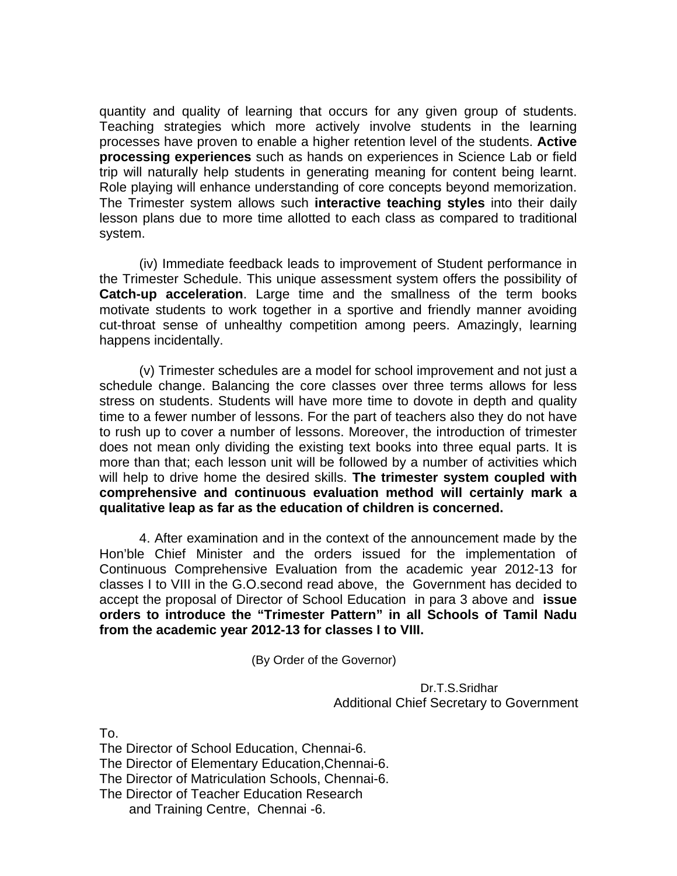quantity and quality of learning that occurs for any given group of students. Teaching strategies which more actively involve students in the learning processes have proven to enable a higher retention level of the students. **Active processing experiences** such as hands on experiences in Science Lab or field trip will naturally help students in generating meaning for content being learnt. Role playing will enhance understanding of core concepts beyond memorization. The Trimester system allows such **interactive teaching styles** into their daily lesson plans due to more time allotted to each class as compared to traditional system.

(iv) Immediate feedback leads to improvement of Student performance in the Trimester Schedule. This unique assessment system offers the possibility of **Catch-up acceleration**. Large time and the smallness of the term books motivate students to work together in a sportive and friendly manner avoiding cut-throat sense of unhealthy competition among peers. Amazingly, learning happens incidentally.

(v) Trimester schedules are a model for school improvement and not just a schedule change. Balancing the core classes over three terms allows for less stress on students. Students will have more time to dovote in depth and quality time to a fewer number of lessons. For the part of teachers also they do not have to rush up to cover a number of lessons. Moreover, the introduction of trimester does not mean only dividing the existing text books into three equal parts. It is more than that; each lesson unit will be followed by a number of activities which will help to drive home the desired skills. **The trimester system coupled with comprehensive and continuous evaluation method will certainly mark a qualitative leap as far as the education of children is concerned.** 

4. After examination and in the context of the announcement made by the Hon'ble Chief Minister and the orders issued for the implementation of Continuous Comprehensive Evaluation from the academic year 2012-13 for classes I to VIII in the G.O.second read above, the Government has decided to accept the proposal of Director of School Education in para 3 above and **issue orders to introduce the "Trimester Pattern" in all Schools of Tamil Nadu from the academic year 2012-13 for classes I to VIII.** 

(By Order of the Governor)

 Dr.T.S.Sridhar Additional Chief Secretary to Government

To.

The Director of School Education, Chennai-6. The Director of Elementary Education,Chennai-6. The Director of Matriculation Schools, Chennai-6. The Director of Teacher Education Research and Training Centre, Chennai -6.